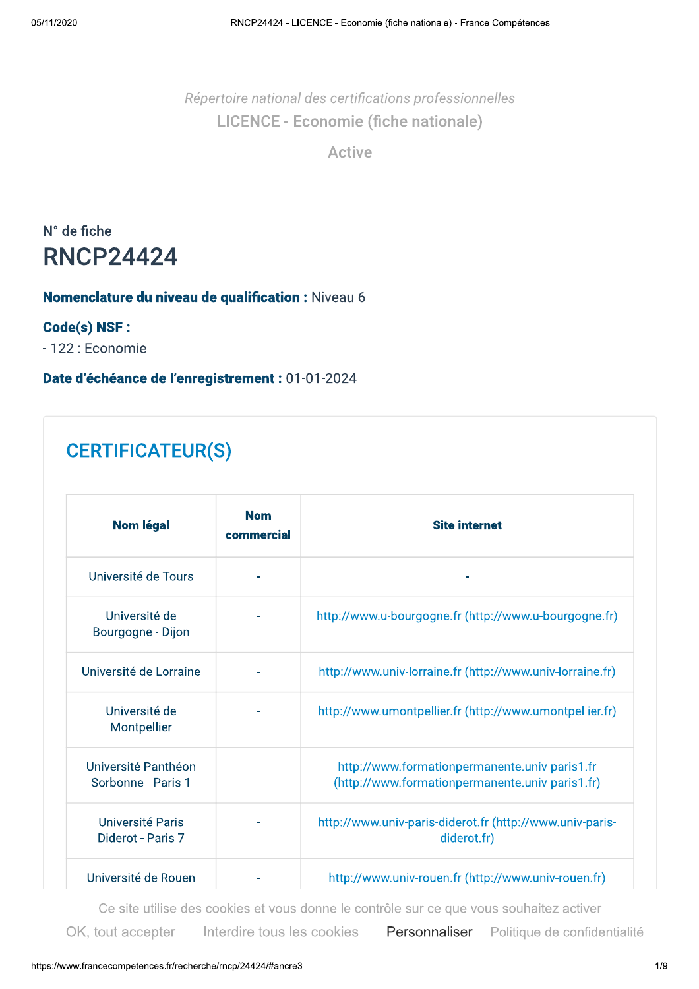Répertoire national des certifications professionnelles LICENCE - Economie (fiche nationale)

**Active** 

N° de fiche **RNCP24424** 

### Nomenclature du niveau de qualification : Niveau 6

#### Code(s) NSF :

- 122 : Economie

Date d'échéance de l'enregistrement : 01-01-2024

## **CERTIFICATEUR(S)**

| <b>Nom légal</b>                          | <b>Nom</b><br>commercial | <b>Site internet</b>                                                                             |
|-------------------------------------------|--------------------------|--------------------------------------------------------------------------------------------------|
| Université de Tours                       |                          |                                                                                                  |
| Université de<br>Bourgogne - Dijon        |                          | http://www.u-bourgogne.fr (http://www.u-bourgogne.fr)                                            |
| Université de Lorraine                    |                          | http://www.univ-lorraine.fr (http://www.univ-lorraine.fr)                                        |
| Université de<br>Montpellier              |                          | http://www.umontpellier.fr (http://www.umontpellier.fr)                                          |
| Université Panthéon<br>Sorbonne - Paris 1 |                          | http://www.formationpermanente.univ-paris1.fr<br>(http://www.formationpermanente.univ-paris1.fr) |
| Université Paris<br>Diderot - Paris 7     |                          | http://www.univ-paris-diderot.fr (http://www.univ-paris-<br>diderot.fr)                          |
| Université de Rouen                       |                          | http://www.univ-rouen.fr (http://www.univ-rouen.fr)                                              |

Ce site utilise des cookies et vous donne le contrôle sur ce que vous souhaitez activer

Interdire tous les cookies OK, tout accepter

Personnaliser Politique de confidentialité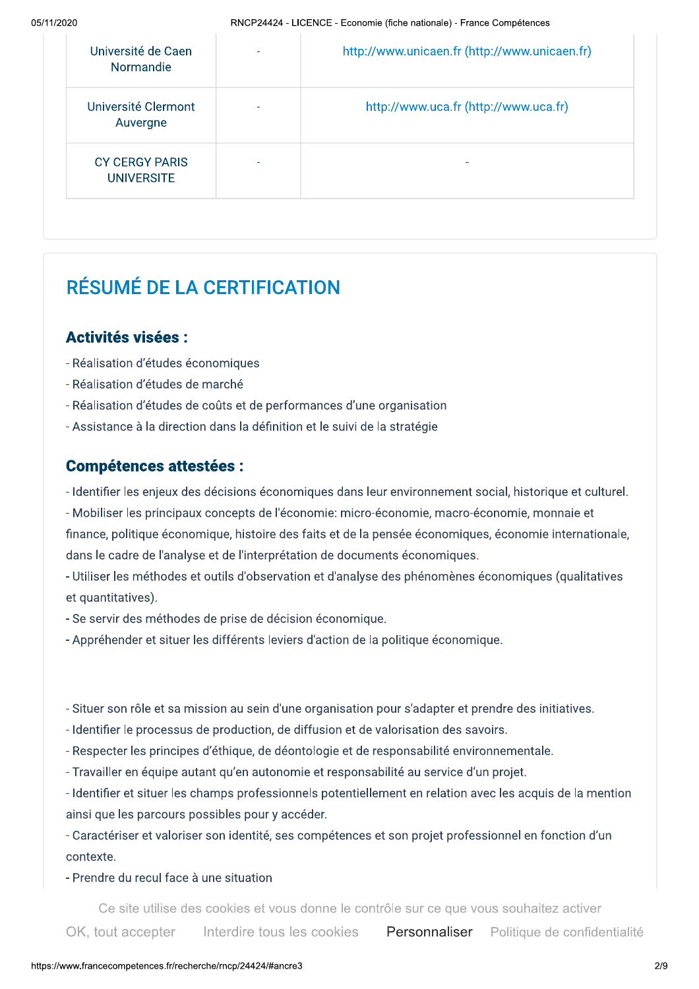| Université de Caen<br>Normandie            | http://www.unicaen.fr (http://www.unicaen.fr) |
|--------------------------------------------|-----------------------------------------------|
| Université Clermont<br>Auvergne            | http://www.uca.fr (http://www.uca.fr)         |
| <b>CY CERGY PARIS</b><br><b>UNIVERSITE</b> |                                               |

# RÉSUMÉ DE LA CERTIFICATION

### **Activités visées:**

- Réalisation d'études économiques
- Réalisation d'études de marché
- Réalisation d'études de coûts et de performances d'une organisation
- Assistance à la direction dans la définition et le suivi de la stratégie

### **Compétences attestées :**

- Identifier les enjeux des décisions économiques dans leur environnement social, historique et culturel.
- Mobiliser les principaux concepts de l'économie: micro-économie, macro-économie, monnaie et finance, politique économique, histoire des faits et de la pensée économiques, économie internationale, dans le cadre de l'analyse et de l'interprétation de documents économiques.
- Utiliser les méthodes et outils d'observation et d'analyse des phénomènes économiques (qualitatives et quantitatives).
- Se servir des méthodes de prise de décision économique.
- Appréhender et situer les différents leviers d'action de la politique économique.
- Situer son rôle et sa mission au sein d'une organisation pour s'adapter et prendre des initiatives.
- Identifier le processus de production, de diffusion et de valorisation des savoirs.
- Respecter les principes d'éthique, de déontologie et de responsabilité environnementale.
- Travailler en équipe autant qu'en autonomie et responsabilité au service d'un projet.
- Identifier et situer les champs professionnels potentiellement en relation avec les acquis de la mention ainsi que les parcours possibles pour y accéder.

- Caractériser et valoriser son identité, ses compétences et son projet professionnel en fonction d'un contexte.

#### - Prendre du recul face à une situation

Ce site utilise des cookies et vous donne le contrôle sur ce que vous souhaitez activer

Interdire tous les cookies OK, tout accepter Personnaliser Politique de confidentialité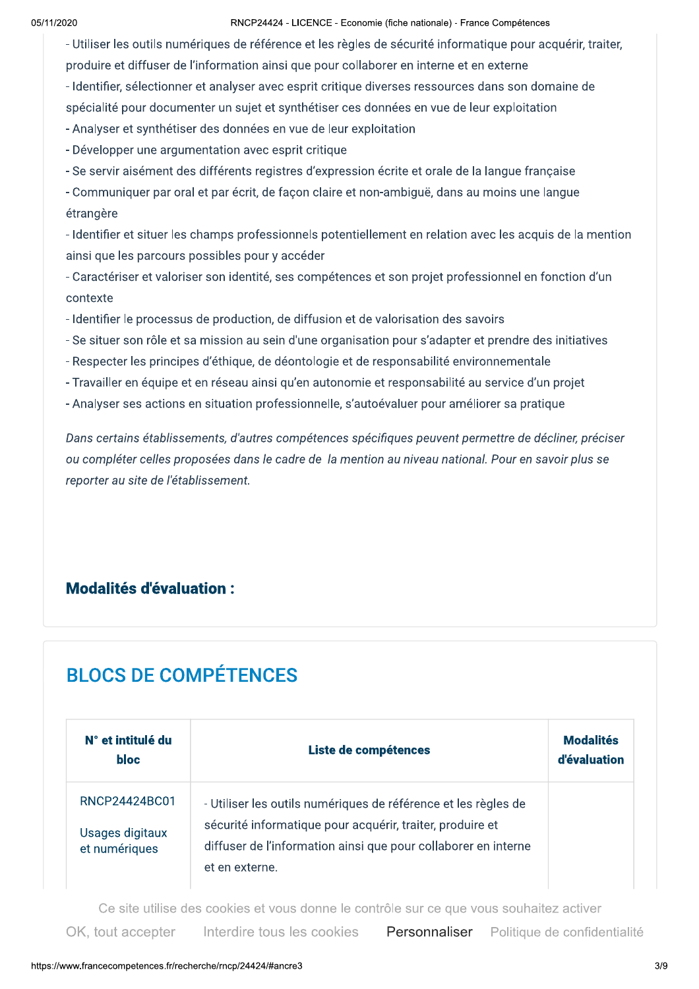RNCP24424 - LICENCE - Economie (fiche nationale) - France Compétences

- Utiliser les outils numériques de référence et les règles de sécurité informatique pour acquérir, traiter, produire et diffuser de l'information ainsi que pour collaborer en interne et en externe

- Identifier, sélectionner et analyser avec esprit critique diverses ressources dans son domaine de

spécialité pour documenter un sujet et synthétiser ces données en vue de leur exploitation

- Analyser et synthétiser des données en vue de leur exploitation

- Développer une argumentation avec esprit critique

- Se servir aisément des différents registres d'expression écrite et orale de la langue française

- Communiquer par oral et par écrit, de façon claire et non-ambiguë, dans au moins une langue étrangère

- Identifier et situer les champs professionnels potentiellement en relation avec les acquis de la mention ainsi que les parcours possibles pour y accéder

- Caractériser et valoriser son identité, ses compétences et son projet professionnel en fonction d'un contexte

- Identifier le processus de production, de diffusion et de valorisation des savoirs
- Se situer son rôle et sa mission au sein d'une organisation pour s'adapter et prendre des initiatives
- Respecter les principes d'éthique, de déontologie et de responsabilité environnementale
- Travailler en équipe et en réseau ainsi qu'en autonomie et responsabilité au service d'un projet
- Analyser ses actions en situation professionnelle, s'autoévaluer pour améliorer sa pratique

Dans certains établissements, d'autres compétences spécifiques peuvent permettre de décliner, préciser ou compléter celles proposées dans le cadre de la mention au niveau national. Pour en savoir plus se reporter au site de l'établissement.

### **Modalités d'évaluation:**

# **BLOCS DE COMPÉTENCES**

| N° et intitulé du<br><b>bloc</b>                  | Liste de compétences                                                                                                                                                                                            |  |  |  |
|---------------------------------------------------|-----------------------------------------------------------------------------------------------------------------------------------------------------------------------------------------------------------------|--|--|--|
| RNCP24424BC01<br>Usages digitaux<br>et numériques | - Utiliser les outils numériques de référence et les règles de<br>sécurité informatique pour acquérir, traiter, produire et<br>diffuser de l'information ainsi que pour collaborer en interne<br>et en externe. |  |  |  |

Ce site utilise des cookies et vous donne le contrôle sur ce que vous souhaitez activer

Interdire tous les cookies OK, tout accepter Personnaliser Politique de confidentialité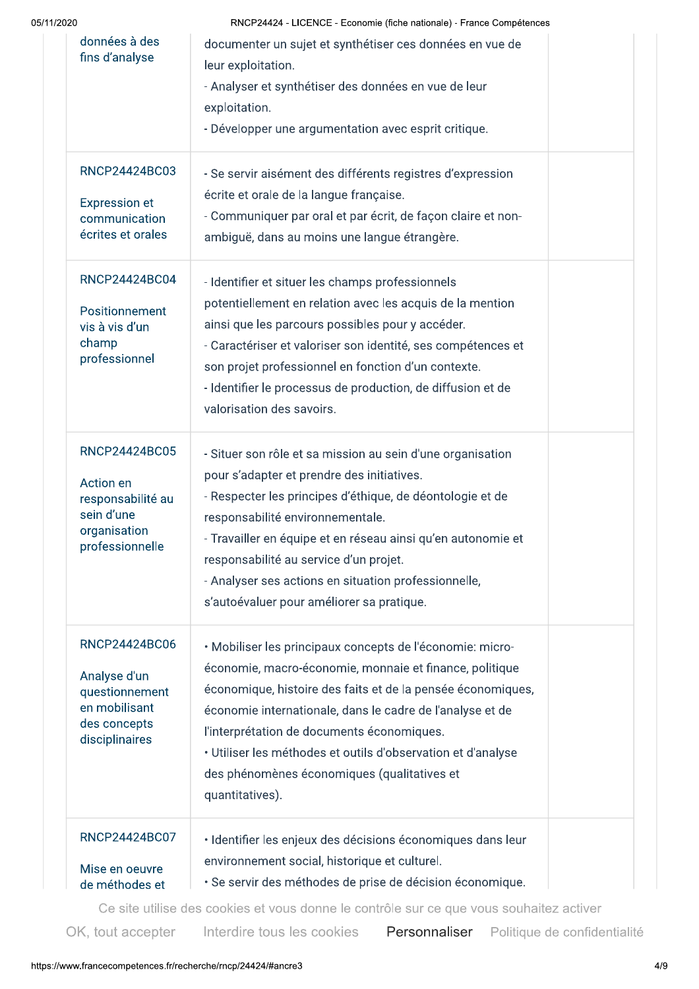| 05/11/2020 |
|------------|
|------------|

RNCP24424 - LICENCE - Economie (fiche nationale) - France Compétences

| données à des<br>fins d'analyse                                                                         | documenter un sujet et synthétiser ces données en vue de<br>leur exploitation.<br>- Analyser et synthétiser des données en vue de leur<br>exploitation.<br>- Développer une argumentation avec esprit critique.                                                                                                                                                                                                                  |
|---------------------------------------------------------------------------------------------------------|----------------------------------------------------------------------------------------------------------------------------------------------------------------------------------------------------------------------------------------------------------------------------------------------------------------------------------------------------------------------------------------------------------------------------------|
| RNCP24424BC03<br><b>Expression et</b><br>communication<br>écrites et orales                             | - Se servir aisément des différents registres d'expression<br>écrite et orale de la langue française.<br>- Communiquer par oral et par écrit, de façon claire et non-<br>ambiguë, dans au moins une langue étrangère.                                                                                                                                                                                                            |
| RNCP24424BC04<br>Positionnement<br>vis à vis d'un<br>champ<br>professionnel                             | - Identifier et situer les champs professionnels<br>potentiellement en relation avec les acquis de la mention<br>ainsi que les parcours possibles pour y accéder.<br>- Caractériser et valoriser son identité, ses compétences et<br>son projet professionnel en fonction d'un contexte.<br>- Identifier le processus de production, de diffusion et de<br>valorisation des savoirs.                                             |
| RNCP24424BC05<br><b>Action en</b><br>responsabilité au<br>sein d'une<br>organisation<br>professionnelle | - Situer son rôle et sa mission au sein d'une organisation<br>pour s'adapter et prendre des initiatives.<br>- Respecter les principes d'éthique, de déontologie et de<br>responsabilité environnementale.<br>- Travailler en équipe et en réseau ainsi qu'en autonomie et<br>responsabilité au service d'un projet.<br>- Analyser ses actions en situation professionnelle,<br>s'autoévaluer pour améliorer sa pratique.         |
| RNCP24424BC06<br>Analyse d'un<br>questionnement<br>en mobilisant<br>des concepts<br>disciplinaires      | · Mobiliser les principaux concepts de l'économie: micro-<br>économie, macro-économie, monnaie et finance, politique<br>économique, histoire des faits et de la pensée économiques,<br>économie internationale, dans le cadre de l'analyse et de<br>l'interprétation de documents économiques.<br>· Utiliser les méthodes et outils d'observation et d'analyse<br>des phénomènes économiques (qualitatives et<br>quantitatives). |
| RNCP24424BC07<br>Mise en oeuvre<br>de méthodes et                                                       | · Identifier les enjeux des décisions économiques dans leur<br>environnement social, historique et culturel.<br>· Se servir des méthodes de prise de décision économique.                                                                                                                                                                                                                                                        |

Ce site utilise des cookies et vous donne le contrôle sur ce que vous souhaitez activer

OK, tout accepter

Interdire tous les cookies Personnaliser Politique de confidentialité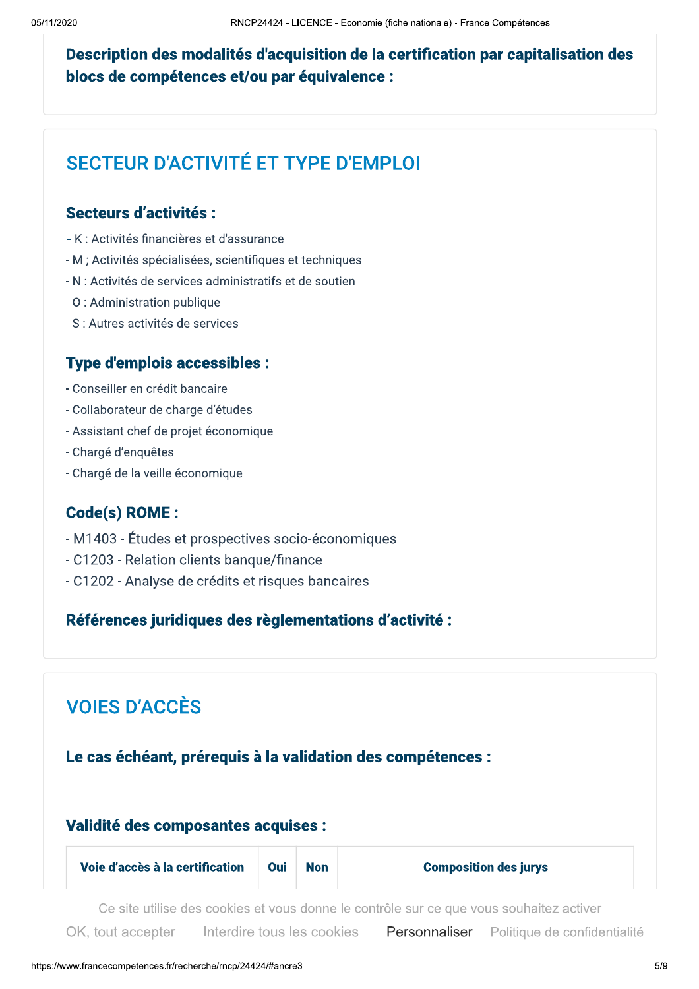### Description des modalités d'acquisition de la certification par capitalisation des blocs de compétences et/ou par équivalence :

## SECTEUR D'ACTIVITÉ ET TYPE D'EMPI OI

### Secteurs d'activités :

- K : Activités financières et d'assurance
- M : Activités spécialisées, scientifiques et techniques
- N : Activités de services administratifs et de soutien
- 0 : Administration publique
- S : Autres activités de services

### **Type d'emplois accessibles :**

- Conseiller en crédit bancaire
- Collaborateur de charge d'études
- Assistant chef de projet économique
- Chargé d'enquêtes
- Chargé de la veille économique

### **Code(s) ROME:**

- M1403 Études et prospectives socio-économiques
- C1203 Relation clients banque/finance
- C1202 Analyse de crédits et risques bancaires

### Références juridiques des règlementations d'activité :

### **VOIES D'ACCÈS**

#### Le cas échéant, prérequis à la validation des compétences :

#### Validité des composantes acquises :

| Voie d'accès à la certification | <b>Oui</b> | <b>Non</b> | <b>Composition des jurys</b> |
|---------------------------------|------------|------------|------------------------------|
|---------------------------------|------------|------------|------------------------------|

Ce site utilise des cookies et vous donne le contrôle sur ce que vous souhaitez activer

Interdire tous les cookies OK, tout accepter Personnaliser Politique de confidentialité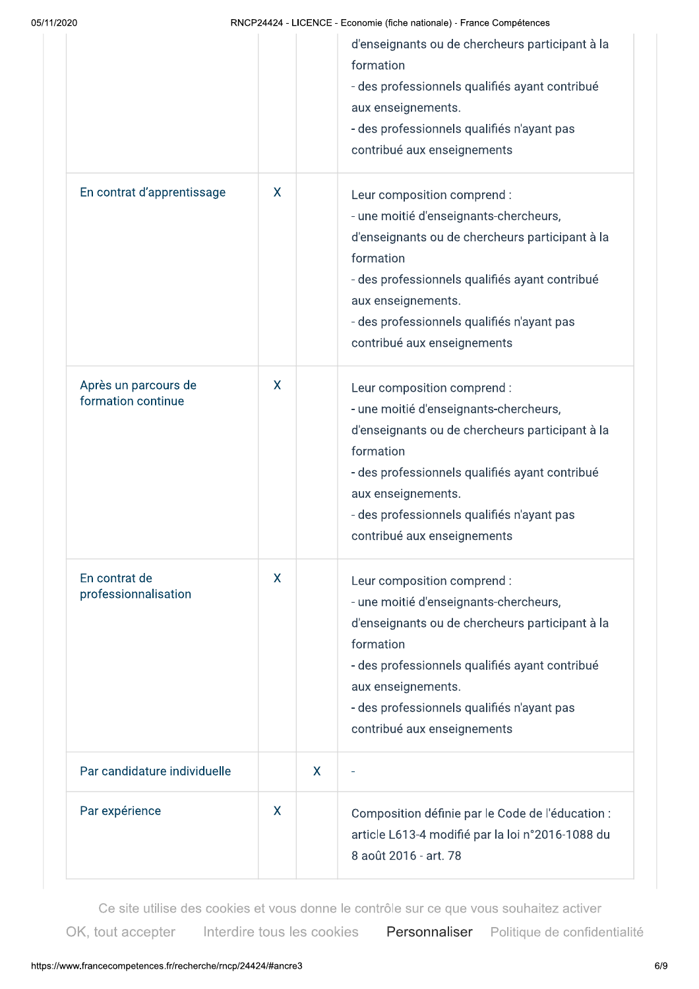RNCP24424 - LICENCE - Economie (fiche nationale) - France Compétences

|                                            |   |              | d'enseignants ou de chercheurs participant à la<br>formation<br>- des professionnels qualifiés ayant contribué<br>aux enseignements.<br>- des professionnels qualifiés n'ayant pas<br>contribué aux enseignements                                                                          |
|--------------------------------------------|---|--------------|--------------------------------------------------------------------------------------------------------------------------------------------------------------------------------------------------------------------------------------------------------------------------------------------|
| En contrat d'apprentissage                 | X |              | Leur composition comprend :<br>- une moitié d'enseignants-chercheurs,<br>d'enseignants ou de chercheurs participant à la<br>formation<br>- des professionnels qualifiés ayant contribué<br>aux enseignements.<br>- des professionnels qualifiés n'ayant pas<br>contribué aux enseignements |
| Après un parcours de<br>formation continue | X |              | Leur composition comprend :<br>- une moitié d'enseignants-chercheurs,<br>d'enseignants ou de chercheurs participant à la<br>formation<br>- des professionnels qualifiés ayant contribué<br>aux enseignements.<br>- des professionnels qualifiés n'ayant pas<br>contribué aux enseignements |
| En contrat de<br>professionnalisation      | X |              | Leur composition comprend :<br>- une moitié d'enseignants-chercheurs,<br>d'enseignants ou de chercheurs participant à la<br>formation<br>- des professionnels qualifiés ayant contribué<br>aux enseignements.<br>- des professionnels qualifiés n'ayant pas<br>contribué aux enseignements |
| Par candidature individuelle               |   | $\mathsf{X}$ |                                                                                                                                                                                                                                                                                            |
| Par expérience                             | X |              | Composition définie par le Code de l'éducation :<br>article L613-4 modifié par la loi n°2016-1088 du<br>8 août 2016 - art. 78                                                                                                                                                              |

Ce site utilise des cookies et vous donne le contrôle sur ce que vous souhaitez activer

Interdire tous les cookies OK, tout accepter

Personnaliser Politique de confidentialité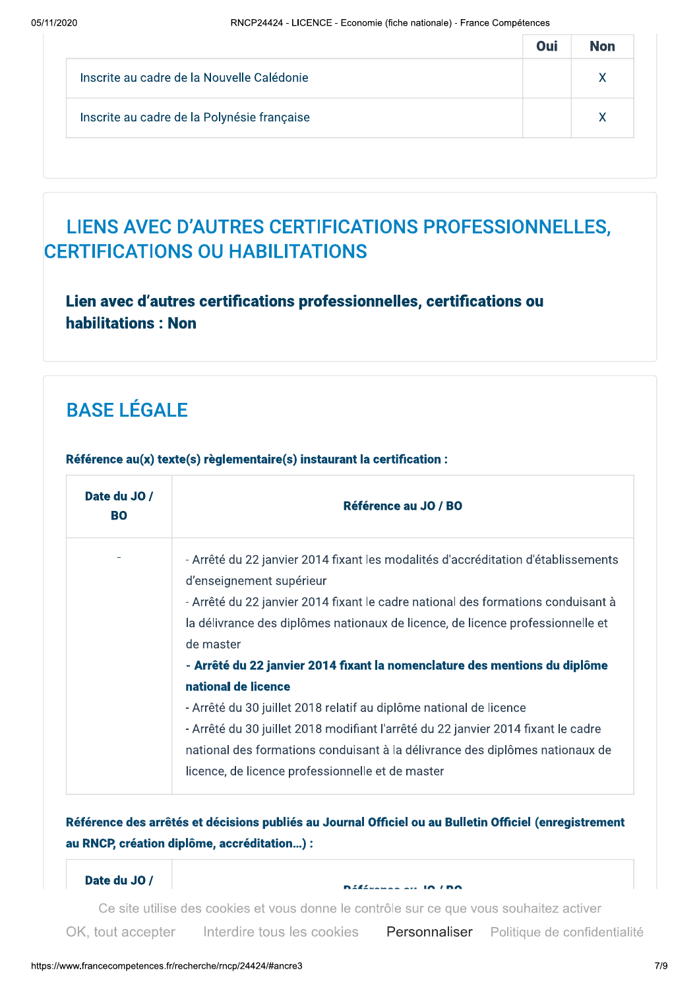|                                             | Oui | <b>Non</b> |
|---------------------------------------------|-----|------------|
| Inscrite au cadre de la Nouvelle Calédonie  |     |            |
| Inscrite au cadre de la Polynésie française |     |            |

## LIENS AVEC D'AUTRES CERTIFICATIONS PROFESSIONNELLES, CERTIFICATIONS OU HABILITATIONS

### Lien avec d'autres certifications professionnelles, certifications ou habilitations: Non

# **BASE LÉGALE**

| Date du JO /<br><b>BO</b> | Référence au JO / BO                                                                                          |
|---------------------------|---------------------------------------------------------------------------------------------------------------|
|                           | - Arrêté du 22 janvier 2014 fixant les modalités d'accréditation d'établissements<br>d'enseignement supérieur |
|                           | - Arrêté du 22 janvier 2014 fixant le cadre national des formations conduisant à                              |
|                           | la délivrance des diplômes nationaux de licence, de licence professionnelle et                                |
|                           | de master                                                                                                     |
|                           | - Arrêté du 22 janvier 2014 fixant la nomenclature des mentions du diplôme                                    |
|                           | national de licence                                                                                           |
|                           | - Arrêté du 30 juillet 2018 relatif au diplôme national de licence                                            |
|                           | - Arrêté du 30 juillet 2018 modifiant l'arrêté du 22 janvier 2014 fixant le cadre                             |
|                           | national des formations conduisant à la délivrance des diplômes nationaux de                                  |
|                           | licence, de licence professionnelle et de master                                                              |

Référence au(x) texte(s) règlementaire(s) instaurant la certification :

### Référence des arrêtés et décisions publiés au Journal Officiel ou au Bulletin Officiel (enregistrement au RNCP, création diplôme, accréditation...) :

Date du JO /

مستحدد من المستخدم و art vous donne le contrôle sur ce que vous souhaitez activer.<br>Ce site utilise des cookies et vous donne le contrôle sur ce que vous souhaitez activer

OK, tout accepter Interdire tous les cookies

'  $\sim$  52034 $\sim$  52034 $\sim$  52034 $\sim$  52034 $\sim$  527  $\sim$ **Personnaliser** Politique de confidentialite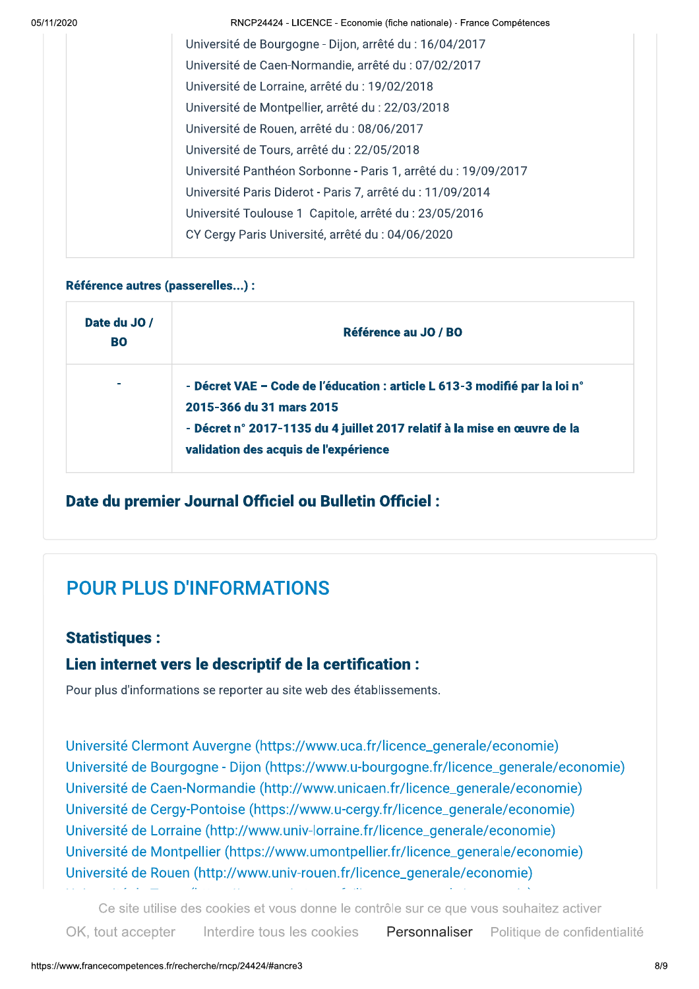RNCP24424 - LICENCE - Economie (fiche nationale) - France Competences

| Université de Bourgogne - Dijon, arrêté du : 16/04/2017        |
|----------------------------------------------------------------|
| Université de Caen-Normandie, arrêté du : 07/02/2017           |
| Université de Lorraine, arrêté du : 19/02/2018                 |
| Université de Montpellier, arrêté du : 22/03/2018              |
| Université de Rouen, arrêté du : 08/06/2017                    |
| Université de Tours, arrêté du : 22/05/2018                    |
| Université Panthéon Sorbonne - Paris 1, arrêté du : 19/09/2017 |
| Université Paris Diderot - Paris 7, arrêté du : 11/09/2014     |
| Université Toulouse 1 Capitole, arrêté du : 23/05/2016         |
| CY Cergy Paris Université, arrêté du : 04/06/2020              |
|                                                                |

#### Référence autres (passerelles...) :

| Date du JO /<br><b>BO</b> | Référence au JO / BO                                                                                                                                                                                                        |
|---------------------------|-----------------------------------------------------------------------------------------------------------------------------------------------------------------------------------------------------------------------------|
| $\sim$                    | - Décret VAE – Code de l'éducation : article L 613-3 modifié par la loi n°<br>2015-366 du 31 mars 2015<br>- Décret n° 2017-1135 du 4 juillet 2017 relatif à la mise en œuvre de la<br>validation des acquis de l'expérience |

### Date du premier Journal Officiel ou Bulletin Officiel :

### POUR PLUS D'INFORMATIONS

### Statistiques :

### Lien internet vers le descriptif de la certification :

Pour plus d'informations se reporter au site web des établissements.

Université Clermont Auvergne (https://www.uca.fr/licence\_generale/economie) Université de Bourgogne - Dijon (https://www.u-bourgogne.fr/licence\_generale/economie) Université de Caen-Normandie (http://www.unicaen.fr/licence\_generale/economie) Université de Cergy-Pontoise (https://www.u-cergy.fr/licence\_generale/economie) Université de Lorraine (http://www.univ-lorraine.fr/licence\_generale/economie) Université de Montpellier (https://www.umontpellier.fr/licence\_generale/economie) Université de Rouen (http://www.univ-rouen.fr/licence\_generale/economie)

ctiver<br>'onfidentialité<br>8/9 »¼½¾¿ÀÁ½ÂÃÄØ¿ÄäÈÊÀÁÄÌÍÂÂÎÁÏÐÐÑÑÑÒ'½¾ÚÂÈÊÀÁÒÕÀÐÆ½Ó¿¼Ó¿ÖË¿¼¿ÀÔÆ¿Ð¿ÓȼÈǽ¿× »¼½¾¿ÀÁ½ÂÃÄàÔ¼ÂÍÃȼÄåÈÀÝȼ¼¿ÄÚÄàÔÀ½ÁÄæ ÔN, iÓÙ doopko informo ious ios coónics information Ce site utilise des cookies et vous donne le controle sur ce que vous sounaitez activer OK, tout accepter Interdire tous les cookies Personnaliser Politique de confidentialite